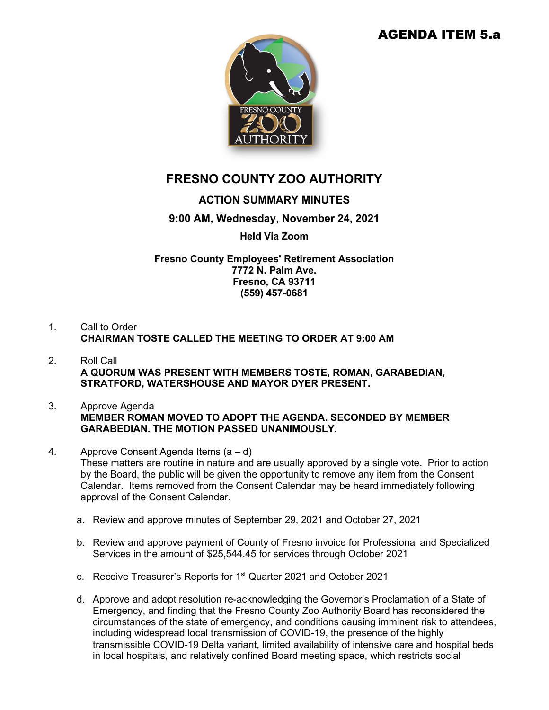# AGENDA ITEM 5.a



# **FRESNO COUNTY ZOO AUTHORITY**

## **ACTION SUMMARY MINUTES**

## **9:00 AM, Wednesday, November 24, 2021**

### **Held Via Zoom**

**Fresno County Employees' Retirement Association 7772 N. Palm Ave. Fresno, CA 93711 (559) 457-0681**

### 1. Call to Order **CHAIRMAN TOSTE CALLED THE MEETING TO ORDER AT 9:00 AM**

- 2. Roll Call **A QUORUM WAS PRESENT WITH MEMBERS TOSTE, ROMAN, GARABEDIAN, STRATFORD, WATERSHOUSE AND MAYOR DYER PRESENT.**
- 3. Approve Agenda **MEMBER ROMAN MOVED TO ADOPT THE AGENDA. SECONDED BY MEMBER GARABEDIAN. THE MOTION PASSED UNANIMOUSLY.**
- 4. Approve Consent Agenda Items (a d) These matters are routine in nature and are usually approved by a single vote. Prior to action by the Board, the public will be given the opportunity to remove any item from the Consent Calendar. Items removed from the Consent Calendar may be heard immediately following approval of the Consent Calendar.
	- a. Review and approve minutes of September 29, 2021 and October 27, 2021
	- b. Review and approve payment of County of Fresno invoice for Professional and Specialized Services in the amount of \$25,544.45 for services through October 2021
	- c. Receive Treasurer's Reports for 1st Quarter 2021 and October 2021
	- d. Approve and adopt resolution re-acknowledging the Governor's Proclamation of a State of Emergency, and finding that the Fresno County Zoo Authority Board has reconsidered the circumstances of the state of emergency, and conditions causing imminent risk to attendees, including widespread local transmission of COVID-19, the presence of the highly transmissible COVID-19 Delta variant, limited availability of intensive care and hospital beds in local hospitals, and relatively confined Board meeting space, which restricts social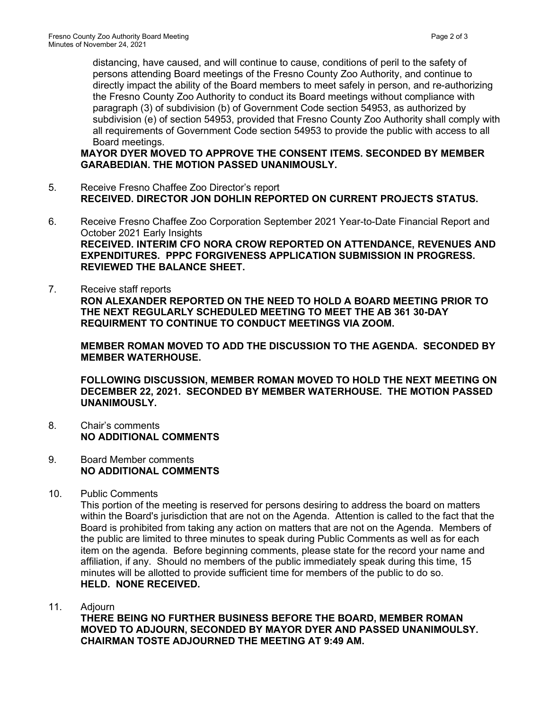distancing, have caused, and will continue to cause, conditions of peril to the safety of persons attending Board meetings of the Fresno County Zoo Authority, and continue to directly impact the ability of the Board members to meet safely in person, and re-authorizing the Fresno County Zoo Authority to conduct its Board meetings without compliance with paragraph (3) of subdivision (b) of Government Code section 54953, as authorized by subdivision (e) of section 54953, provided that Fresno County Zoo Authority shall comply with all requirements of Government Code section 54953 to provide the public with access to all Board meetings.

**MAYOR DYER MOVED TO APPROVE THE CONSENT ITEMS. SECONDED BY MEMBER GARABEDIAN. THE MOTION PASSED UNANIMOUSLY.**

- 5. Receive Fresno Chaffee Zoo Director's report **RECEIVED. DIRECTOR JON DOHLIN REPORTED ON CURRENT PROJECTS STATUS.**
- 6. Receive Fresno Chaffee Zoo Corporation September 2021 Year-to-Date Financial Report and October 2021 Early Insights **RECEIVED. INTERIM CFO NORA CROW REPORTED ON ATTENDANCE, REVENUES AND EXPENDITURES. PPPC FORGIVENESS APPLICATION SUBMISSION IN PROGRESS. REVIEWED THE BALANCE SHEET.**
- 7. Receive staff reports **RON ALEXANDER REPORTED ON THE NEED TO HOLD A BOARD MEETING PRIOR TO THE NEXT REGULARLY SCHEDULED MEETING TO MEET THE AB 361 30-DAY REQUIRMENT TO CONTINUE TO CONDUCT MEETINGS VIA ZOOM.**

**MEMBER ROMAN MOVED TO ADD THE DISCUSSION TO THE AGENDA. SECONDED BY MEMBER WATERHOUSE.**

**FOLLOWING DISCUSSION, MEMBER ROMAN MOVED TO HOLD THE NEXT MEETING ON DECEMBER 22, 2021. SECONDED BY MEMBER WATERHOUSE. THE MOTION PASSED UNANIMOUSLY.**

- 8. Chair's comments **NO ADDITIONAL COMMENTS**
- 9. Board Member comments **NO ADDITIONAL COMMENTS**
- 10. Public Comments

This portion of the meeting is reserved for persons desiring to address the board on matters within the Board's jurisdiction that are not on the Agenda. Attention is called to the fact that the Board is prohibited from taking any action on matters that are not on the Agenda. Members of the public are limited to three minutes to speak during Public Comments as well as for each item on the agenda. Before beginning comments, please state for the record your name and affiliation, if any. Should no members of the public immediately speak during this time, 15 minutes will be allotted to provide sufficient time for members of the public to do so. **HELD. NONE RECEIVED.**

11. Adjourn

**THERE BEING NO FURTHER BUSINESS BEFORE THE BOARD, MEMBER ROMAN MOVED TO ADJOURN, SECONDED BY MAYOR DYER AND PASSED UNANIMOULSY. CHAIRMAN TOSTE ADJOURNED THE MEETING AT 9:49 AM.**